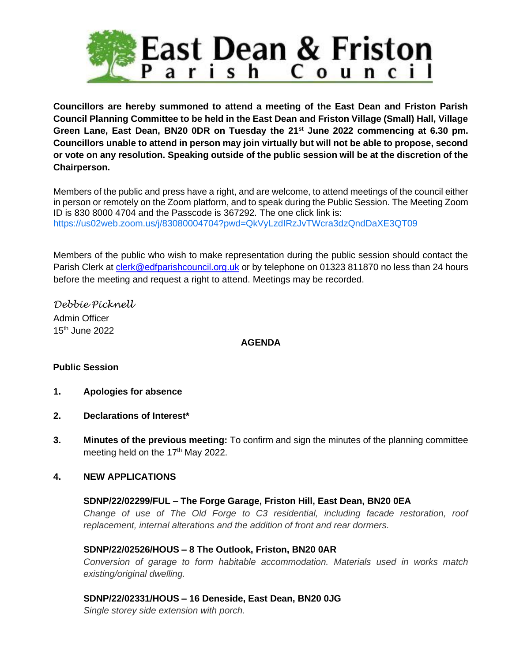

**Councillors are hereby summoned to attend a meeting of the East Dean and Friston Parish Council Planning Committee to be held in the East Dean and Friston Village (Small) Hall, Village Green Lane, East Dean, BN20 0DR on Tuesday the 21st June 2022 commencing at 6.30 pm. Councillors unable to attend in person may join virtually but will not be able to propose, second or vote on any resolution. Speaking outside of the public session will be at the discretion of the Chairperson.**

Members of the public and press have a right, and are welcome, to attend meetings of the council either in person or remotely on the Zoom platform, and to speak during the Public Session. The Meeting Zoom ID is 830 8000 4704 and the Passcode is 367292. The one click link is: <https://us02web.zoom.us/j/83080004704?pwd=QkVyLzdIRzJvTWcra3dzQndDaXE3QT09>

Members of the public who wish to make representation during the public session should contact the Parish Clerk at [clerk@edfparishcouncil.org.uk](mailto:clerk@edfparishcouncil.org.uk) or by telephone on 01323 811870 no less than 24 hours before the meeting and request a right to attend. Meetings may be recorded.

*Debbie Picknell* Admin Officer 15 th June 2022

# **AGENDA**

# **Public Session**

- **1. Apologies for absence**
- **2. Declarations of Interest\***
- **3. Minutes of the previous meeting:** To confirm and sign the minutes of the planning committee meeting held on the 17<sup>th</sup> May 2022.

# **4. NEW APPLICATIONS**

# **SDNP/22/02299/FUL – The Forge Garage, Friston Hill, East Dean, BN20 0EA**

*Change of use of The Old Forge to C3 residential, including facade restoration, roof replacement, internal alterations and the addition of front and rear dormers.*

# **SDNP/22/02526/HOUS – 8 The Outlook, Friston, BN20 0AR**

*Conversion of garage to form habitable accommodation. Materials used in works match existing/original dwelling.*

# **SDNP/22/02331/HOUS – 16 Deneside, East Dean, BN20 0JG**

*Single storey side extension with porch.*